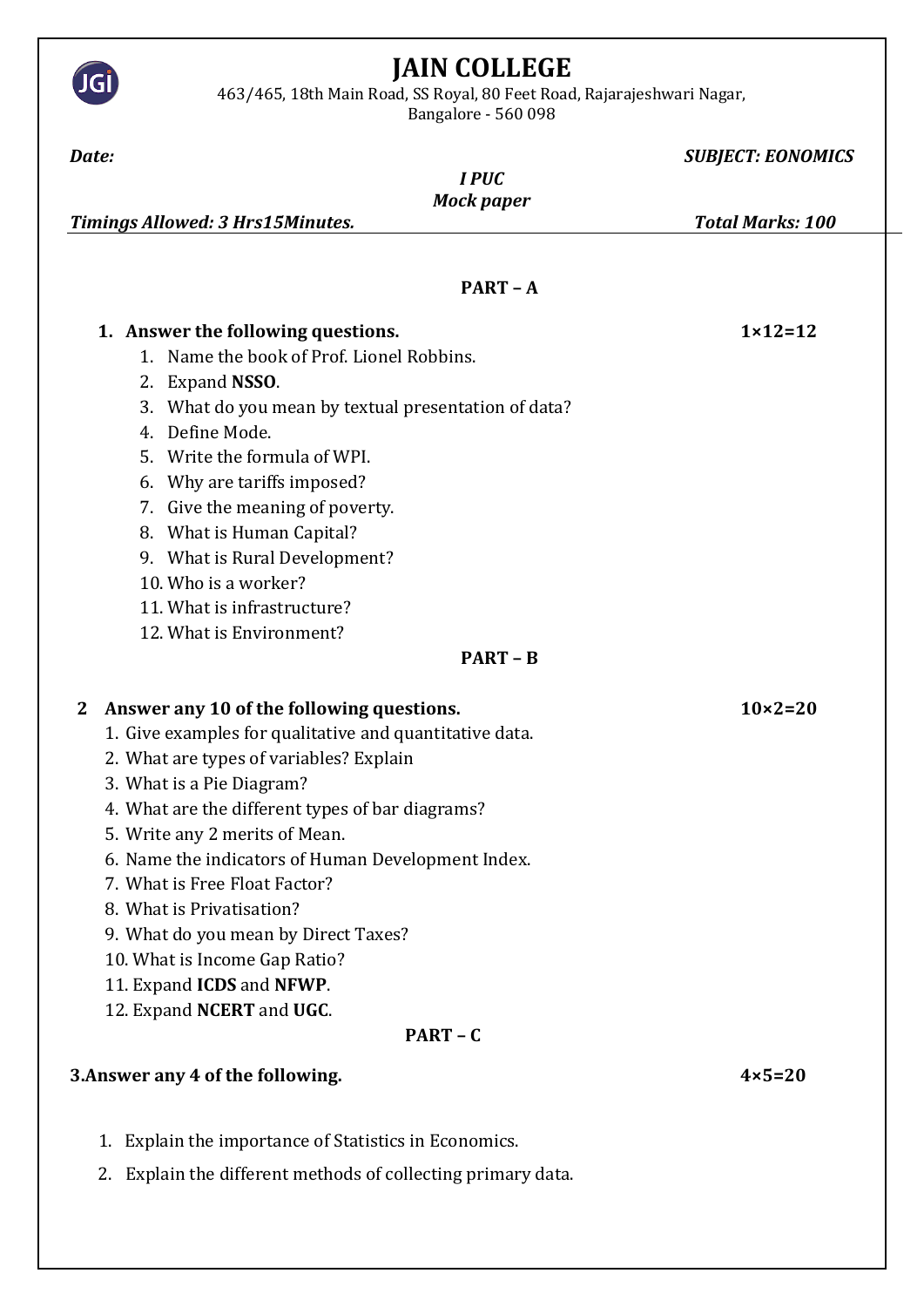

- 11. Expand **ICDS** and **NFWP**.
- 12. Expand **NCERT** and **UGC**.

## **PART – C**

## **3.Answer any 4 of the following. 4×5=20**

- 1. Explain the importance of Statistics in Economics.
- 2. Explain the different methods of collecting primary data.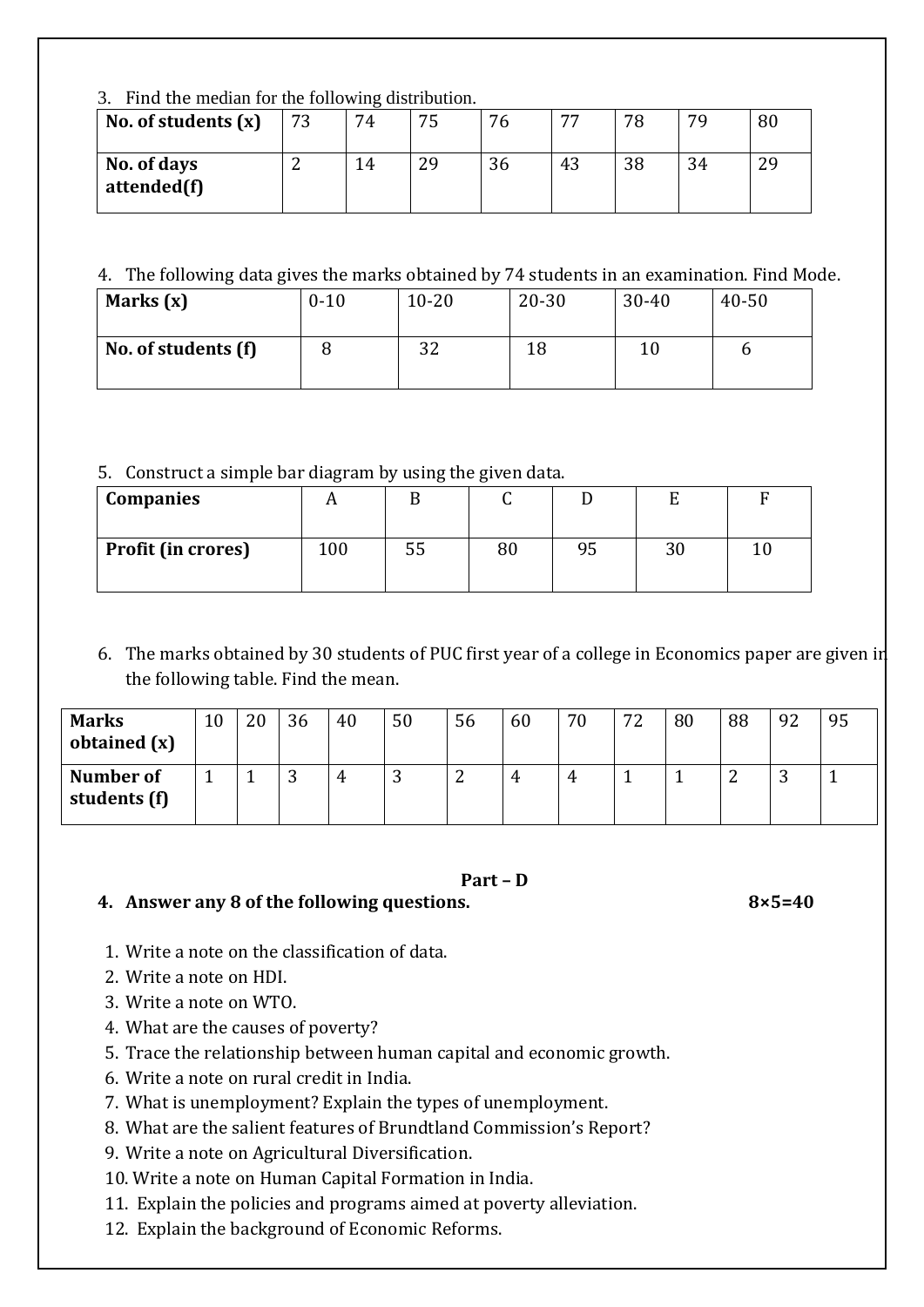|  |  |  |  |  |  |  |  | 3. Find the median for the following distribution. |  |
|--|--|--|--|--|--|--|--|----------------------------------------------------|--|
|--|--|--|--|--|--|--|--|----------------------------------------------------|--|

| No. of students $(x)$      | 73 | 74 | 75 | 76 | 77 | 78 | 70 | 80 |
|----------------------------|----|----|----|----|----|----|----|----|
| No. of days<br>attended(f) |    | 14 | 29 | 36 | 43 | 38 | 34 | 29 |

## 4. The following data gives the marks obtained by 74 students in an examination. Find Mode.

| Marks $(x)$         | $0 - 10$ | $10 - 20$ | $20 - 30$ | $30 - 40$ | $40 - 50$ |
|---------------------|----------|-----------|-----------|-----------|-----------|
| No. of students (f) |          | າາ<br>ے ں |           | 10        |           |

## 5. Construct a simple bar diagram by using the given data.

| <b>Companies</b>          |     |    |    |    |    |  |
|---------------------------|-----|----|----|----|----|--|
| <b>Profit (in crores)</b> | 100 | 55 | 80 | 95 | 30 |  |

6. The marks obtained by 30 students of PUC first year of a college in Economics paper are given in the following table. Find the mean.

| <b>Marks</b><br>obtained (x) | 10 | 20 | 36 | 40 | 50       | 56              | 60 | 70 | 72 | 80 | 88 | 92 | 95 |
|------------------------------|----|----|----|----|----------|-----------------|----|----|----|----|----|----|----|
| Number of<br>students (f)    |    |    | ◡  | 4  | ⌒<br>ر ِ | $\sqrt{2}$<br>∼ |    | 4  |    | л. | ▃  | ັ  |    |

#### **Part – D**

## **4. Answer any 8 of the following questions. 8×5=40**

- 1. Write a note on the classification of data.
- 2. Write a note on HDI.
- 3. Write a note on WTO.
- 4. What are the causes of poverty?
- 5. Trace the relationship between human capital and economic growth.
- 6. Write a note on rural credit in India.
- 7. What is unemployment? Explain the types of unemployment.
- 8. What are the salient features of Brundtland Commission's Report?
- 9. Write a note on Agricultural Diversification.
- 10. Write a note on Human Capital Formation in India.
- 11. Explain the policies and programs aimed at poverty alleviation.
- 12. Explain the background of Economic Reforms.